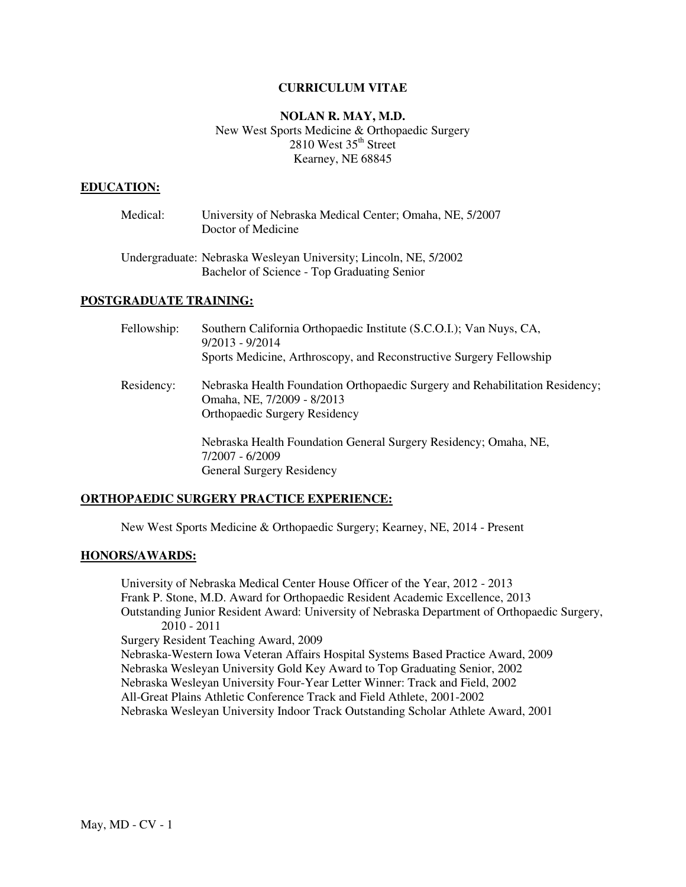## **CURRICULUM VITAE**

# **NOLAN R. MAY, M.D.**  New West Sports Medicine & Orthopaedic Surgery  $2810$  West  $35<sup>th</sup>$  Street Kearney, NE 68845

#### **EDUCATION:**

| Medical: | University of Nebraska Medical Center; Omaha, NE, 5/2007<br>Doctor of Medicine                                  |
|----------|-----------------------------------------------------------------------------------------------------------------|
|          | Undergraduate: Nebraska Wesleyan University; Lincoln, NE, 5/2002<br>Bachelor of Science - Top Graduating Senior |

#### **POSTGRADUATE TRAINING:**

| Fellowship: | Southern California Orthopaedic Institute (S.C.O.I.); Van Nuys, CA,<br>$9/2013 - 9/2014$<br>Sports Medicine, Arthroscopy, and Reconstructive Surgery Fellowship |
|-------------|-----------------------------------------------------------------------------------------------------------------------------------------------------------------|
| Residency:  | Nebraska Health Foundation Orthopaedic Surgery and Rehabilitation Residency;<br>Omaha, NE, 7/2009 - 8/2013<br><b>Orthopaedic Surgery Residency</b>              |
|             | Nebraska Health Foundation General Surgery Residency; Omaha, NE,<br>7/2007 - 6/2009                                                                             |

#### **ORTHOPAEDIC SURGERY PRACTICE EXPERIENCE:**

General Surgery Residency

New West Sports Medicine & Orthopaedic Surgery; Kearney, NE, 2014 - Present

### **HONORS/AWARDS:**

 University of Nebraska Medical Center House Officer of the Year, 2012 - 2013 Frank P. Stone, M.D. Award for Orthopaedic Resident Academic Excellence, 2013 Outstanding Junior Resident Award: University of Nebraska Department of Orthopaedic Surgery, 2010 - 2011 Surgery Resident Teaching Award, 2009 Nebraska-Western Iowa Veteran Affairs Hospital Systems Based Practice Award, 2009 Nebraska Wesleyan University Gold Key Award to Top Graduating Senior, 2002 Nebraska Wesleyan University Four-Year Letter Winner: Track and Field, 2002 All-Great Plains Athletic Conference Track and Field Athlete, 2001-2002 Nebraska Wesleyan University Indoor Track Outstanding Scholar Athlete Award, 2001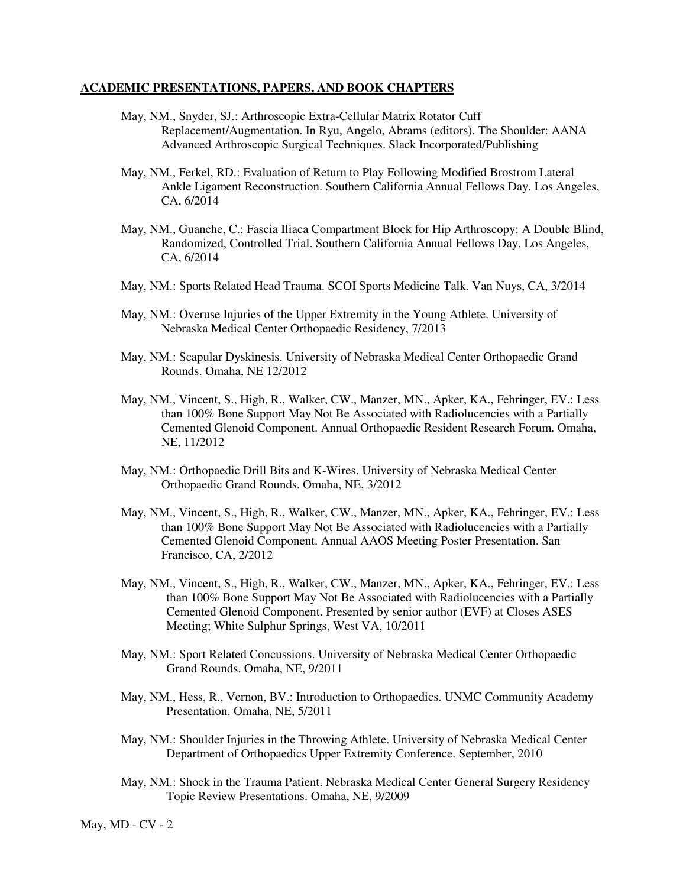## **ACADEMIC PRESENTATIONS, PAPERS, AND BOOK CHAPTERS**

- May, NM., Snyder, SJ.: Arthroscopic Extra-Cellular Matrix Rotator Cuff Replacement/Augmentation. In Ryu, Angelo, Abrams (editors). The Shoulder: AANA Advanced Arthroscopic Surgical Techniques. Slack Incorporated/Publishing
- May, NM., Ferkel, RD.: Evaluation of Return to Play Following Modified Brostrom Lateral Ankle Ligament Reconstruction. Southern California Annual Fellows Day. Los Angeles, CA, 6/2014
- May, NM., Guanche, C.: Fascia Iliaca Compartment Block for Hip Arthroscopy: A Double Blind, Randomized, Controlled Trial. Southern California Annual Fellows Day. Los Angeles, CA, 6/2014
- May, NM.: Sports Related Head Trauma. SCOI Sports Medicine Talk. Van Nuys, CA, 3/2014
- May, NM.: Overuse Injuries of the Upper Extremity in the Young Athlete. University of Nebraska Medical Center Orthopaedic Residency, 7/2013
- May, NM.: Scapular Dyskinesis. University of Nebraska Medical Center Orthopaedic Grand Rounds. Omaha, NE 12/2012
- May, NM., Vincent, S., High, R., Walker, CW., Manzer, MN., Apker, KA., Fehringer, EV.: Less than 100% Bone Support May Not Be Associated with Radiolucencies with a Partially Cemented Glenoid Component. Annual Orthopaedic Resident Research Forum. Omaha, NE, 11/2012
- May, NM.: Orthopaedic Drill Bits and K-Wires. University of Nebraska Medical Center Orthopaedic Grand Rounds. Omaha, NE, 3/2012
- May, NM., Vincent, S., High, R., Walker, CW., Manzer, MN., Apker, KA., Fehringer, EV.: Less than 100% Bone Support May Not Be Associated with Radiolucencies with a Partially Cemented Glenoid Component. Annual AAOS Meeting Poster Presentation. San Francisco, CA, 2/2012
- May, NM., Vincent, S., High, R., Walker, CW., Manzer, MN., Apker, KA., Fehringer, EV.: Less than 100% Bone Support May Not Be Associated with Radiolucencies with a Partially Cemented Glenoid Component. Presented by senior author (EVF) at Closes ASES Meeting; White Sulphur Springs, West VA, 10/2011
- May, NM.: Sport Related Concussions. University of Nebraska Medical Center Orthopaedic Grand Rounds. Omaha, NE, 9/2011
- May, NM., Hess, R., Vernon, BV.: Introduction to Orthopaedics. UNMC Community Academy Presentation. Omaha, NE, 5/2011
- May, NM.: Shoulder Injuries in the Throwing Athlete. University of Nebraska Medical Center Department of Orthopaedics Upper Extremity Conference. September, 2010
- May, NM.: Shock in the Trauma Patient. Nebraska Medical Center General Surgery Residency Topic Review Presentations. Omaha, NE, 9/2009

May, MD - CV - 2